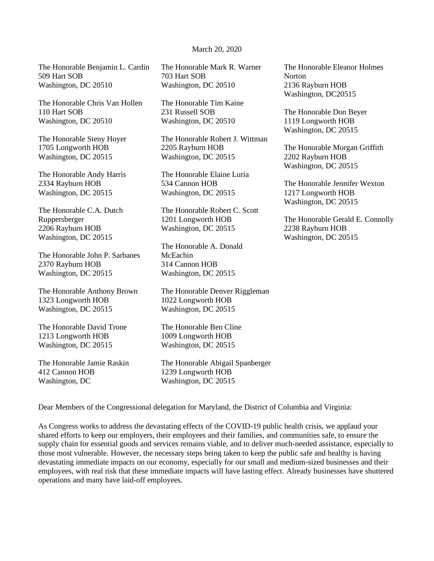## March 20, 2020

The Honorable Benjamin L. Cardin 509 Hart SOB Washington, DC 20510

The Honorable Chris Van Hollen 110 Hart SOB Washington, DC 20510

The Honorable Steny Hoyer 1705 Longworth HOB Washington, DC 20515

The Honorable Andy Harris 2334 Rayburn HOB Washington, DC 20515

The Honorable C.A. Dutch Ruppersberger 2206 Rayburn HOB Washington, DC 20515

The Honorable John P. Sarbanes 2370 Rayburn HOB Washington, DC 20515

The Honorable Anthony Brown 1323 Longworth HOB Washington, DC 20515

The Honorable David Trone 1213 Longworth HOB Washington, DC 20515

The Honorable Jamie Raskin 412 Cannon HOB Washington, DC

The Honorable Mark R. Warner 703 Hart SOB Washington, DC 20510

The Honorable Tim Kaine 231 Russell SOB Washington, DC 20510

The Honorable Robert J. Wittman 2205 Rayburn HOB Washington, DC 20515

The Honorable Elaine Luria 534 Cannon HOB Washington, DC 20515

The Honorable Robert C. Scott 1201 Longworth HOB Washington, DC 20515

The Honorable A. Donald McEachin 314 Cannon HOB Washington, DC 20515

The Honorable Denver Riggleman 1022 Longworth HOB Washington, DC 20515

The Honorable Ben Cline 1009 Longworth HOB Washington, DC 20515

The Honorable Abigail Spanberger 1239 Longworth HOB Washington, DC 20515

The Honorable Eleanor Holmes Norton 2136 Rayburn HOB Washington, DC20515

The Honorable Don Beyer 1119 Longworth HOB Washington, DC 20515

The Honorable Morgan Griffith 2202 Rayburn HOB Washington, DC 20515

The Honorable Jennifer Wexton 1217 Longworth HOB Washington, DC 20515

The Honorable Gerald E. Connolly 2238 Rayburn HOB Washington, DC 20515

Dear Members of the Congressional delegation for Maryland, the District of Columbia and Virginia:

As Congress works to address the devastating effects of the COVID-19 public health crisis, we applaud your shared efforts to keep our employers, their employees and their families, and communities safe, to ensure the supply chain for essential goods and services remains viable, and to deliver much-needed assistance, especially to those most vulnerable. However, the necessary steps being taken to keep the public safe and healthy is having devastating immediate impacts on our economy, especially for our small and medium-sized businesses and their employees, with real risk that these immediate impacts will have lasting effect. Already businesses have shuttered operations and many have laid-off employees.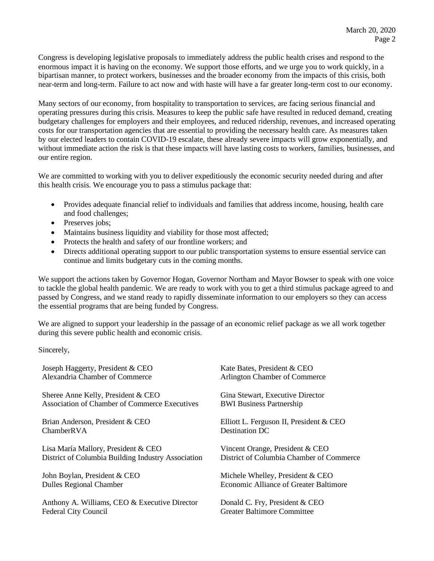Congress is developing legislative proposals to immediately address the public health crises and respond to the enormous impact it is having on the economy. We support those efforts, and we urge you to work quickly, in a bipartisan manner, to protect workers, businesses and the broader economy from the impacts of this crisis, both near-term and long-term. Failure to act now and with haste will have a far greater long-term cost to our economy.

Many sectors of our economy, from hospitality to transportation to services, are facing serious financial and operating pressures during this crisis. Measures to keep the public safe have resulted in reduced demand, creating budgetary challenges for employers and their employees, and reduced ridership, revenues, and increased operating costs for our transportation agencies that are essential to providing the necessary health care. As measures taken by our elected leaders to contain COVID-19 escalate, these already severe impacts will grow exponentially, and without immediate action the risk is that these impacts will have lasting costs to workers, families, businesses, and our entire region.

We are committed to working with you to deliver expeditiously the economic security needed during and after this health crisis. We encourage you to pass a stimulus package that:

- Provides adequate financial relief to individuals and families that address income, housing, health care and food challenges;
- Preserves jobs;
- Maintains business liquidity and viability for those most affected;
- Protects the health and safety of our frontline workers; and
- Directs additional operating support to our public transportation systems to ensure essential service can continue and limits budgetary cuts in the coming months.

We support the actions taken by Governor Hogan, Governor Northam and Mayor Bowser to speak with one voice to tackle the global health pandemic. We are ready to work with you to get a third stimulus package agreed to and passed by Congress, and we stand ready to rapidly disseminate information to our employers so they can access the essential programs that are being funded by Congress.

We are aligned to support your leadership in the passage of an economic relief package as we all work together during this severe public health and economic crisis.

Sincerely,

| Joseph Haggerty, President & CEO                   | Kate Bates, President & CEO                   |
|----------------------------------------------------|-----------------------------------------------|
| Alexandria Chamber of Commerce                     | Arlington Chamber of Commerce                 |
| Sheree Anne Kelly, President & CEO                 | Gina Stewart, Executive Director              |
| Association of Chamber of Commerce Executives      | <b>BWI Business Partnership</b>               |
| Brian Anderson, President & CEO                    | Elliott L. Ferguson II, President & CEO       |
| ChamberRVA                                         | Destination DC                                |
| Lisa María Mallory, President & CEO                | Vincent Orange, President & CEO               |
| District of Columbia Building Industry Association | District of Columbia Chamber of Commerce      |
| John Boylan, President & CEO                       | Michele Whelley, President & CEO              |
| <b>Dulles Regional Chamber</b>                     | <b>Economic Alliance of Greater Baltimore</b> |
| Anthony A. Williams, CEO & Executive Director      | Donald C. Fry, President & CEO                |
| <b>Federal City Council</b>                        | <b>Greater Baltimore Committee</b>            |